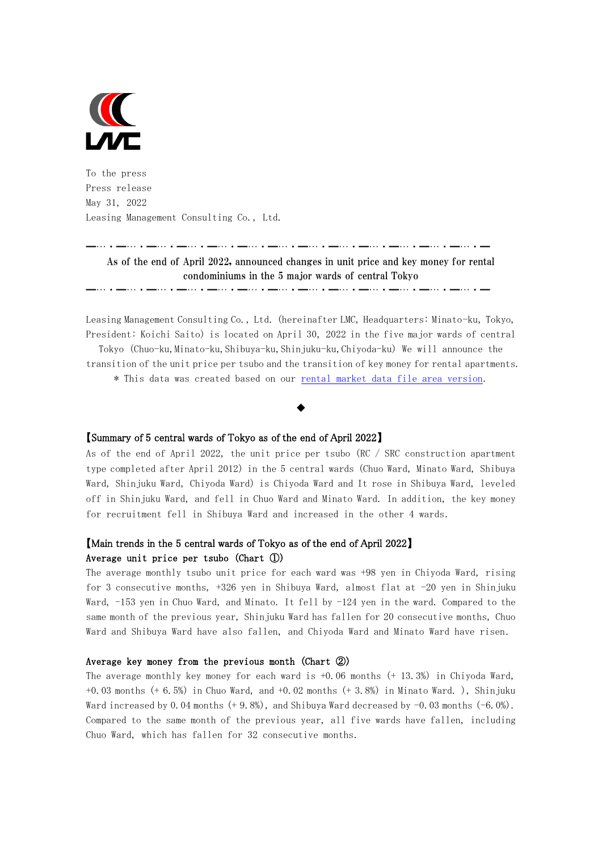

To the press Press release May 31, 2022 Leasing Management Consulting Co., Ltd.

> As of the end of April 2022, announced changes in unit price and key money for rental condominiums in the 5 major wards of central Tokyo

> > ━…・━…・━…・━…・━…・━…・━…・━…・━…・━…・━…・━…・━…・━

━…・━…・━…・━…・━…・━…・━…・━…・━…・━…・━…・━…・━…・━

Leasing Management Consulting Co., Ltd. (hereinafter LMC, Headquarters: Minato-ku, Tokyo, President: Koichi Saito) is located on April 30, 2022 in the five major wards of central

Tokyo (Chuo-ku,Minato-ku,Shibuya-ku,Shinjuku-ku,Chiyoda-ku) We will announce the transition of the unit price per tsubo and the transition of key money for rental apartments.

\* This data was created based on our [rental market data file area version.](https://lmc-c.co.jp/competitive-property-surveymarket-data-file/)

## ◆

### 【Summary of 5 central wards of Tokyo as of the end of April 2022】

As of the end of April 2022, the unit price per tsubo (RC / SRC construction apartment type completed after April 2012) in the 5 central wards (Chuo Ward, Minato Ward, Shibuya Ward, Shinjuku Ward, Chiyoda Ward) is Chiyoda Ward and It rose in Shibuya Ward, leveled off in Shinjuku Ward, and fell in Chuo Ward and Minato Ward. In addition, the key money for recruitment fell in Shibuya Ward and increased in the other 4 wards.

# 【Main trends in the 5 central wards of Tokyo as of the end of April 2022】 Average unit price per tsubo (Chart ①)

The average monthly tsubo unit price for each ward was +98 yen in Chiyoda Ward, rising for 3 consecutive months, +326 yen in Shibuya Ward, almost flat at -20 yen in Shinjuku Ward, -153 yen in Chuo Ward, and Minato. It fell by -124 yen in the ward. Compared to the same month of the previous year, Shinjuku Ward has fallen for 20 consecutive months, Chuo Ward and Shibuya Ward have also fallen, and Chiyoda Ward and Minato Ward have risen.

#### Average key money from the previous month (Chart ②)

The average monthly key money for each ward is +0.06 months (+ 13.3%) in Chiyoda Ward, +0.03 months (+ 6.5%) in Chuo Ward, and +0.02 months (+ 3.8%) in Minato Ward. ), Shinjuku Ward increased by 0.04 months  $(+ 9.8\%)$ , and Shibuya Ward decreased by  $-0.03$  months  $(-6.0\%)$ . Compared to the same month of the previous year, all five wards have fallen, including Chuo Ward, which has fallen for 32 consecutive months.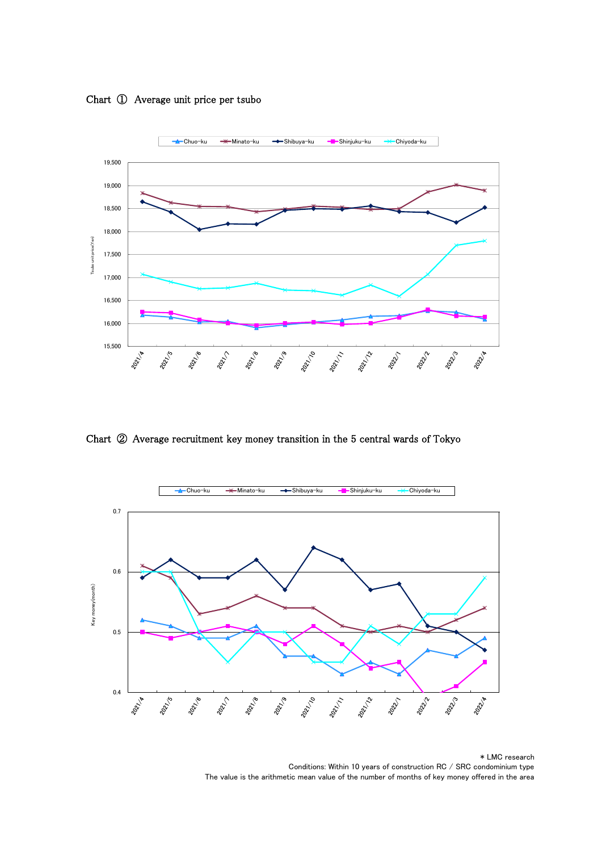



Chart ② Average recruitment key money transition in the 5 central wards of Tokyo



\* LMC research Conditions: Within 10 years of construction RC / SRC condominium type The value is the arithmetic mean value of the number of months of key money offered in the area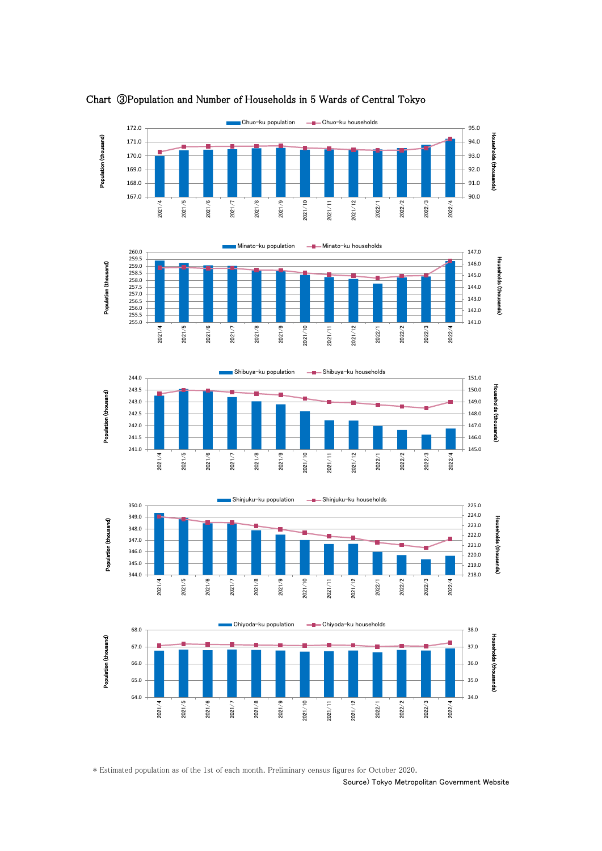

# Chart ③Population and Number of Households in 5 Wards of Central Tokyo









\* Estimated population as of the 1st of each month. Preliminary census figures for October 2020.

Source) Tokyo Metropolitan Government Website